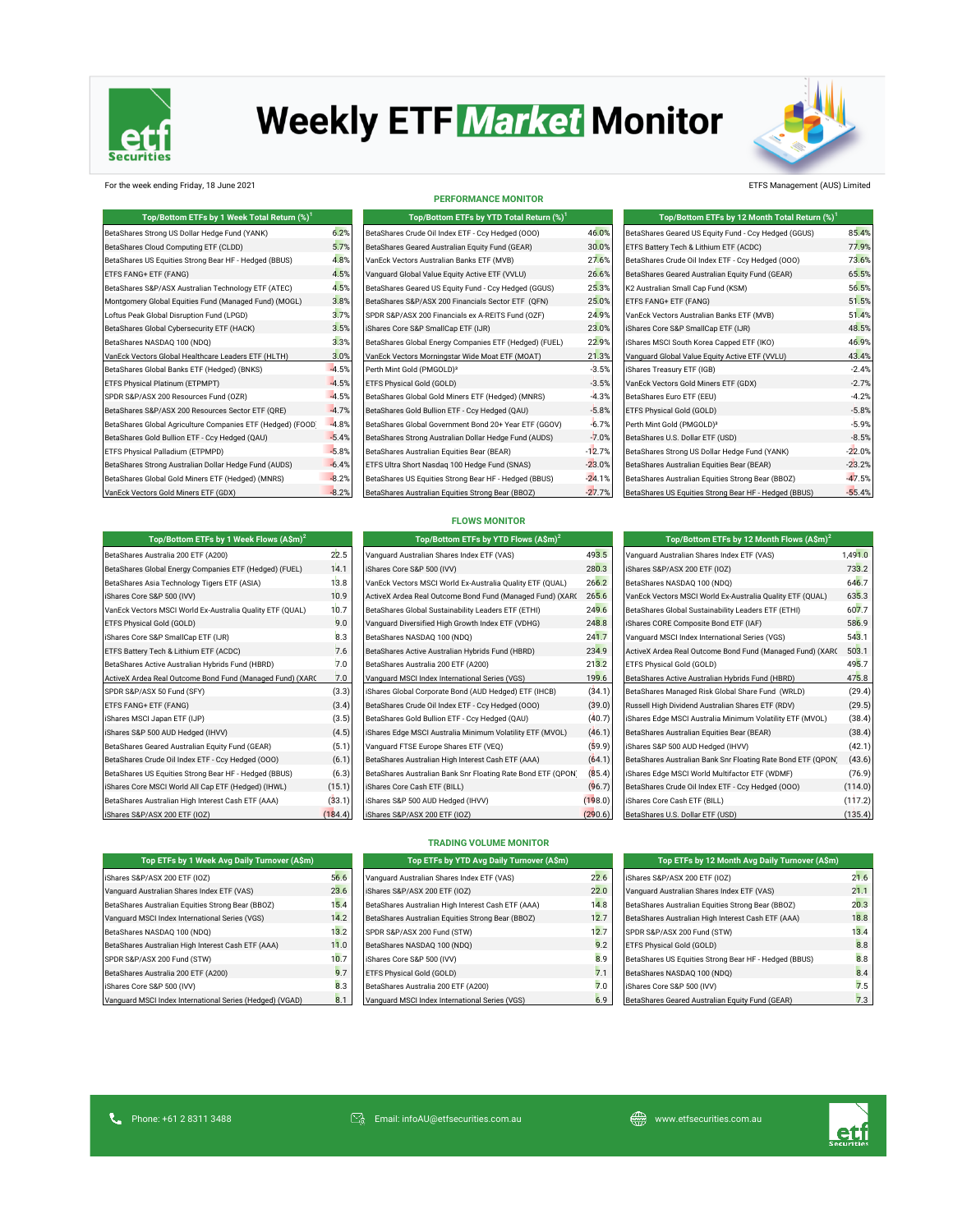

# **Weekly ETF Market Monitor**



#### For the week ending Friday, 18 June 2021 ETFS Management (AUS) Limited

#### **PERFORMANCE MONITOR**

| Top/Bottom ETFs by 1 Week Total Return (%) <sup>1</sup>     |         | Top/Bottom ETFs by YTD Total Return (%) <sup>1</sup>   |          | Top/Bottom ETFs by 12 Month Total Return (%) <sup>1</sup> |          |
|-------------------------------------------------------------|---------|--------------------------------------------------------|----------|-----------------------------------------------------------|----------|
| BetaShares Strong US Dollar Hedge Fund (YANK)               | 6.2%    | BetaShares Crude Oil Index ETF - Ccy Hedged (000)      | 46.0%    | BetaShares Geared US Equity Fund - Ccy Hedged (GGUS)      | 85.4%    |
| BetaShares Cloud Computing ETF (CLDD)                       | 5.7%    | BetaShares Geared Australian Equity Fund (GEAR)        | 30.0%    | ETFS Battery Tech & Lithium ETF (ACDC)                    | 77.9%    |
| BetaShares US Equities Strong Bear HF - Hedged (BBUS)       | 4.8%    | VanEck Vectors Australian Banks ETF (MVB)              | 27.6%    | BetaShares Crude Oil Index ETF - Ccy Hedged (000)         | 73.6%    |
| ETFS FANG+ ETF (FANG)                                       | 4.5%    | Vanquard Global Value Equity Active ETF (VVLU)         | 26.6%    | BetaShares Geared Australian Equity Fund (GEAR)           | 65.5%    |
| BetaShares S&P/ASX Australian Technology ETF (ATEC)         | 4.5%    | BetaShares Geared US Equity Fund - Ccy Hedged (GGUS)   | 25.3%    | K2 Australian Small Cap Fund (KSM)                        | 56.5%    |
| Montgomery Global Equities Fund (Managed Fund) (MOGL)       | 3.8%    | BetaShares S&P/ASX 200 Financials Sector ETF (QFN)     | 25.0%    | ETFS FANG+ ETF (FANG)                                     | 51.5%    |
| Loftus Peak Global Disruption Fund (LPGD)                   | 3.7%    | SPDR S&P/ASX 200 Financials ex A-REITS Fund (OZF)      | 24.9%    | VanEck Vectors Australian Banks ETF (MVB)                 | 51.4%    |
| BetaShares Global Cybersecurity ETF (HACK)                  | 3.5%    | iShares Core S&P SmallCap ETF (IJR)                    | 23.0%    | iShares Core S&P SmallCap ETF (IJR)                       | 48.5%    |
| BetaShares NASDAQ 100 (NDQ)                                 | 3.3%    | BetaShares Global Energy Companies ETF (Hedged) (FUEL) | 22.9%    | iShares MSCI South Korea Capped ETF (IKO)                 | 46.9%    |
| VanEck Vectors Global Healthcare Leaders ETF (HLTH)         | 3.0%    | VanEck Vectors Morningstar Wide Moat ETF (MOAT)        | 21.3%    | Vanguard Global Value Equity Active ETF (VVLU)            | 43.4%    |
| BetaShares Global Banks ETF (Hedged) (BNKS)                 | $-4.5%$ | Perth Mint Gold (PMGOLD) <sup>3</sup>                  | $-3.5%$  | iShares Treasury ETF (IGB)                                | $-2.4%$  |
| ETFS Physical Platinum (ETPMPT)                             | $-4.5%$ | ETFS Physical Gold (GOLD)                              | $-3.5%$  | VanEck Vectors Gold Miners ETF (GDX)                      | $-2.7%$  |
| SPDR S&P/ASX 200 Resources Fund (OZR)                       | $-4.5%$ | BetaShares Global Gold Miners ETF (Hedged) (MNRS)      | $-4.3%$  | BetaShares Euro ETF (EEU)                                 | $-4.2%$  |
| BetaShares S&P/ASX 200 Resources Sector ETF (QRE)           | $-4.7%$ | BetaShares Gold Bullion ETF - Ccy Hedged (QAU)         | $-5.8%$  | ETFS Physical Gold (GOLD)                                 | $-5.8%$  |
| BetaShares Global Agriculture Companies ETF (Hedged) (FOOD) | $-4.8%$ | BetaShares Global Government Bond 20+ Year ETF (GGOV)  | $-6.7%$  | Perth Mint Gold (PMGOLD) <sup>3</sup>                     | $-5.9%$  |
| BetaShares Gold Bullion ETF - Ccy Hedged (QAU)              | $-5.4%$ | BetaShares Strong Australian Dollar Hedge Fund (AUDS)  | $-7.0%$  | BetaShares U.S. Dollar ETF (USD)                          | $-8.5%$  |
| ETFS Physical Palladium (ETPMPD)                            | $-5.8%$ | BetaShares Australian Equities Bear (BEAR)             | $-12.7%$ | BetaShares Strong US Dollar Hedge Fund (YANK)             | $-22.0%$ |
| BetaShares Strong Australian Dollar Hedge Fund (AUDS)       | $-6.4%$ | ETFS Ultra Short Nasdaq 100 Hedge Fund (SNAS)          | $-23.0%$ | BetaShares Australian Equities Bear (BEAR)                | $-23.2%$ |
| BetaShares Global Gold Miners ETF (Hedged) (MNRS)           | $-8.2%$ | BetaShares US Equities Strong Bear HF - Hedged (BBUS)  | $-24.1%$ | BetaShares Australian Equities Strong Bear (BBOZ)         | $-47.5%$ |
| VanEck Vectors Gold Miners ETF (GDX)                        | $-8.2%$ | BetaShares Australian Equities Strong Bear (BBOZ)      | $-27.7%$ | BetaShares US Equities Strong Bear HF - Hedged (BBUS)     | $-55.4%$ |

**Top/Bottom ETFs by 1 Week Flows (A\$m)<sup>2</sup>**

| Top/Bottom ETFs by YTD Total Return (%) <sup>1</sup>   |                |
|--------------------------------------------------------|----------------|
| BetaShares Crude Oil Index ETF - Ccy Hedged (000)      | 46.0           |
| BetaShares Geared Australian Equity Fund (GEAR)        | $30.0^{\circ}$ |
| VanEck Vectors Australian Banks ETF (MVB)              | $27.6^{\circ}$ |
| Vanquard Global Value Equity Active ETF (VVLU)         | $26.6^{\circ}$ |
| BetaShares Geared US Equity Fund - Ccy Hedged (GGUS)   | 25.3'          |
| BetaShares S&P/ASX 200 Financials Sector ETF (QFN)     | 25.0           |
| SPDR S&P/ASX 200 Financials ex A-REITS Fund (OZF)      | 24.9'          |
| iShares Core S&P SmallCap ETF (IJR)                    | $23.0^{\circ}$ |
| BetaShares Global Energy Companies ETF (Hedged) (FUEL) | $22.9^{\circ}$ |
| VanEck Vectors Morningstar Wide Moat ETF (MOAT)        | 21.3'          |
| Perth Mint Gold (PMGOLD) <sup>3</sup>                  | $-3.5'$        |
| ETFS Physical Gold (GOLD)                              | $-3.5'$        |
| BetaShares Global Gold Miners ETF (Hedged) (MNRS)      | $-4.3$         |
| BetaShares Gold Bullion ETF - Ccy Hedged (QAU)         | $-5.8'$        |
| BetaShares Global Government Bond 20+ Year ETF (GGOV)  | $-6.7$         |
| BetaShares Strong Australian Dollar Hedge Fund (AUDS)  | $-7.0$         |
| BetaShares Australian Equities Bear (BEAR)             | $-12.7'$       |
| ETFS Ultra Short Nasdag 100 Hedge Fund (SNAS)          | $-23.0$        |
| BetaShares US Equities Strong Bear HF - Hedged (BBUS)  | $-24.1$        |
|                                                        |                |

| Top/Bottom ETFs by 12 Month Total Return (%) <sup>1</sup> |          |
|-----------------------------------------------------------|----------|
| BetaShares Geared US Equity Fund - Ccy Hedged (GGUS)      | 85.4%    |
| ETFS Battery Tech & Lithium ETF (ACDC)                    | 77.9%    |
| BetaShares Crude Oil Index ETF - Ccv Hedged (000)         | 73.6%    |
| BetaShares Geared Australian Equity Fund (GEAR)           | 65.5%    |
| K2 Australian Small Cap Fund (KSM)                        | 56.5%    |
| ETFS FANG+ ETF (FANG)                                     | 51.5%    |
| VanEck Vectors Australian Banks ETF (MVB)                 | 51.4%    |
| iShares Core S&P SmallCap ETF (IJR)                       | 48.5%    |
| iShares MSCI South Korea Capped ETF (IKO)                 | 46.9%    |
| Vanguard Global Value Equity Active ETF (VVLU)            | 43.4%    |
| iShares Treasury ETF (IGB)                                | $-2.4%$  |
| VanEck Vectors Gold Miners ETF (GDX)                      | $-2.7%$  |
| BetaShares Euro ETF (EEU)                                 | $-4.2%$  |
| ETFS Physical Gold (GOLD)                                 | $-5.8%$  |
| Perth Mint Gold (PMGOLD) <sup>3</sup>                     | $-5.9%$  |
| BetaShares U.S. Dollar ETF (USD)                          | $-8.5%$  |
| BetaShares Strong US Dollar Hedge Fund (YANK)             | $-22.0%$ |
| BetaShares Australian Equities Bear (BEAR)                | $-23.2%$ |
| BetaShares Australian Equities Strong Bear (BBOZ)         | $-47.5%$ |
| BetaShares US Equities Strong Bear HF - Hedged (BBUS)     | $-55.4%$ |

### **FLOWS MONITOR**

| Top/Bottom ETFs by 1 Week Flows (A\$m) <sup>2</sup>       |         | Top/Bottom ETFs by YTD Flows (A\$m) <sup>2</sup>             |         | Top/Bottom ETFs by 12 Month Flows $(A\$ m)^2                 |         |  |
|-----------------------------------------------------------|---------|--------------------------------------------------------------|---------|--------------------------------------------------------------|---------|--|
| BetaShares Australia 200 ETF (A200)                       | 22.5    | Vanguard Australian Shares Index ETF (VAS)                   | 493.5   | Vanguard Australian Shares Index ETF (VAS)                   | 1,491.0 |  |
| BetaShares Global Energy Companies ETF (Hedged) (FUEL)    | 14.1    | iShares Core S&P 500 (IVV)                                   | 280.3   | iShares S&P/ASX 200 ETF (IOZ)                                | 733.2   |  |
| BetaShares Asia Technology Tigers ETF (ASIA)              | 13.8    | VanEck Vectors MSCI World Ex-Australia Quality ETF (QUAL)    | 266.2   | BetaShares NASDAQ 100 (NDQ)                                  | 646.7   |  |
| iShares Core S&P 500 (IVV)                                | 10.9    | ActiveX Ardea Real Outcome Bond Fund (Managed Fund) (XARC    | 265.6   | VanEck Vectors MSCI World Ex-Australia Quality ETF (QUAL)    | 635.3   |  |
| VanEck Vectors MSCI World Ex-Australia Quality ETF (QUAL) | 10.7    | BetaShares Global Sustainability Leaders ETF (ETHI)          | 249.6   | BetaShares Global Sustainability Leaders ETF (ETHI)          | 607.7   |  |
| ETFS Physical Gold (GOLD)                                 | 9.0     | Vanquard Diversified High Growth Index ETF (VDHG)            | 248.8   | iShares CORE Composite Bond ETF (IAF)                        | 586.9   |  |
| iShares Core S&P SmallCap ETF (IJR)                       | 8.3     | BetaShares NASDAQ 100 (NDQ)                                  | 241.7   | Vanguard MSCI Index International Series (VGS)               | 543.1   |  |
| ETFS Battery Tech & Lithium ETF (ACDC)                    | 7.6     | BetaShares Active Australian Hybrids Fund (HBRD)             | 234.9   | ActiveX Ardea Real Outcome Bond Fund (Managed Fund) (XARC    | 503.1   |  |
| BetaShares Active Australian Hybrids Fund (HBRD)          | 7.0     | BetaShares Australia 200 ETF (A200)                          | 213.2   | ETFS Physical Gold (GOLD)                                    | 495.7   |  |
| ActiveX Ardea Real Outcome Bond Fund (Managed Fund) (XARC | 7.0     | Vanguard MSCI Index International Series (VGS)               | 199.6   | BetaShares Active Australian Hybrids Fund (HBRD)             | 475.8   |  |
| SPDR S&P/ASX 50 Fund (SFY)                                | (3.3)   | iShares Global Corporate Bond (AUD Hedged) ETF (IHCB)        | (34.1)  | BetaShares Managed Risk Global Share Fund (WRLD)             | (29.4)  |  |
| ETFS FANG+ ETF (FANG)                                     | (3.4)   | BetaShares Crude Oil Index ETF - Ccy Hedged (000)            | (39.0)  | Russell High Dividend Australian Shares ETF (RDV)            | (29.5)  |  |
| iShares MSCI Japan ETF (IJP)                              | (3.5)   | BetaShares Gold Bullion ETF - Ccy Hedged (QAU)               | (40.7)  | iShares Edge MSCI Australia Minimum Volatility ETF (MVOL)    | (38.4)  |  |
| iShares S&P 500 AUD Hedged (IHVV)                         | (4.5)   | iShares Edge MSCI Australia Minimum Volatility ETF (MVOL)    | (46.1)  | BetaShares Australian Equities Bear (BEAR)                   | (38.4)  |  |
| BetaShares Geared Australian Equity Fund (GEAR)           | (5.1)   | Vanguard FTSE Europe Shares ETF (VEQ)                        | (59.9)  | iShares S&P 500 AUD Hedged (IHVV)                            | (42.1)  |  |
| BetaShares Crude Oil Index ETF - Ccy Hedged (000)         | (6.1)   | BetaShares Australian High Interest Cash ETF (AAA)           | (64.1)  | BetaShares Australian Bank Snr Floating Rate Bond ETF (QPON) | (43.6)  |  |
| BetaShares US Equities Strong Bear HF - Hedged (BBUS)     | (6.3)   | BetaShares Australian Bank Snr Floating Rate Bond ETF (QPON) | (85.4)  | iShares Edge MSCI World Multifactor ETF (WDMF)               | (76.9)  |  |
| iShares Core MSCI World All Cap ETF (Hedged) (IHWL)       | (15.1)  | iShares Core Cash ETF (BILL)                                 | (96.7)  | BetaShares Crude Oil Index ETF - Ccy Hedged (000)            | (114.0) |  |
| BetaShares Australian High Interest Cash ETF (AAA)        | (33.1)  | iShares S&P 500 AUD Hedged (IHVV)                            | (198.0) | iShares Core Cash ETF (BILL)                                 | (117.2) |  |
| iShares S&P/ASX 200 ETF (IOZ)                             | (184.4) | iShares S&P/ASX 200 ETF (IOZ)                                | (290.6) | BetaShares U.S. Dollar ETF (USD)                             | (135.4) |  |

| Top/Bottom ETFs by 12 Month Flows (A\$m) <sup>2</sup>        |         |
|--------------------------------------------------------------|---------|
| Vanquard Australian Shares Index ETF (VAS)                   | 1,491.0 |
| iShares S&P/ASX 200 ETF (IOZ)                                | 733.2   |
| BetaShares NASDAQ 100 (NDQ)                                  | 646.7   |
| VanEck Vectors MSCI World Ex-Australia Quality ETF (QUAL)    | 635.3   |
| BetaShares Global Sustainability Leaders ETF (ETHI)          | 607.7   |
| iShares CORE Composite Bond ETF (IAF)                        | 586.9   |
| Vanguard MSCI Index International Series (VGS)               | 543.1   |
| ActiveX Ardea Real Outcome Bond Fund (Managed Fund) (XARC    | 503.1   |
| ETFS Physical Gold (GOLD)                                    | 495.7   |
| BetaShares Active Australian Hybrids Fund (HBRD)             | 475.8   |
| BetaShares Managed Risk Global Share Fund (WRLD)             | (29.4)  |
| Russell High Dividend Australian Shares ETF (RDV)            | (29.5)  |
| iShares Edge MSCI Australia Minimum Volatility ETF (MVOL)    | (38.4)  |
| BetaShares Australian Equities Bear (BEAR)                   | (38.4)  |
| iShares S&P 500 AUD Hedged (IHVV)                            | (42.1)  |
| BetaShares Australian Bank Snr Floating Rate Bond ETF (QPON) | (43.6)  |
| iShares Edge MSCI World Multifactor ETF (WDMF)               | (76.9)  |
| BetaShares Crude Oil Index ETF - Ccy Hedged (000)            | (114.0) |
| iShares Core Cash ETF (BILL)                                 | (117.2) |
|                                                              |         |

#### **TRADING VOLUME MONITOR**

| Top ETFs by 1 Week Avg Daily Turnover (A\$m)             |      | Top ETFs by YTD Avg Daily Turnover (A\$m)          |      | Top ETFs by 12 Month Avg Daily Turnover (A\$m)        |      |
|----------------------------------------------------------|------|----------------------------------------------------|------|-------------------------------------------------------|------|
| iShares S&P/ASX 200 ETF (IOZ)                            | 56.6 | Vanquard Australian Shares Index ETF (VAS)         | 22.6 | iShares S&P/ASX 200 ETF (IOZ)                         | 21.6 |
| Vanquard Australian Shares Index ETF (VAS)               | 23.6 | iShares S&P/ASX 200 ETF (IOZ)                      | 22.0 | Vanquard Australian Shares Index ETF (VAS)            | 21.1 |
| BetaShares Australian Equities Strong Bear (BBOZ)        | 15.4 | BetaShares Australian High Interest Cash ETF (AAA) | 14.8 | BetaShares Australian Equities Strong Bear (BBOZ)     | 20.3 |
| Vanquard MSCI Index International Series (VGS)           | 14.2 | BetaShares Australian Equities Strong Bear (BBOZ)  | 12.7 | BetaShares Australian High Interest Cash ETF (AAA)    | 18.8 |
| BetaShares NASDAQ 100 (NDQ)                              | 13.2 | SPDR S&P/ASX 200 Fund (STW)                        | 12.7 | SPDR S&P/ASX 200 Fund (STW)                           | 13.4 |
| BetaShares Australian High Interest Cash ETF (AAA)       | 11.0 | BetaShares NASDAQ 100 (NDQ)                        | 9.2  | ETFS Physical Gold (GOLD)                             | 8.8  |
| SPDR S&P/ASX 200 Fund (STW)                              | 10.7 | iShares Core S&P 500 (IVV)                         | 8.9  | BetaShares US Equities Strong Bear HF - Hedged (BBUS) | 8.8  |
| BetaShares Australia 200 ETF (A200)                      | 9.7  | ETFS Physical Gold (GOLD)                          | 7.1  | BetaShares NASDAQ 100 (NDQ)                           | 8.4  |
| iShares Core S&P 500 (IVV)                               | 8.3  | BetaShares Australia 200 ETF (A200)                | 7.0  | iShares Core S&P 500 (IVV)                            | 7.5  |
| Vanquard MSCI Index International Series (Hedged) (VGAD) | 8.1  | Vanquard MSCI Index International Series (VGS)     | 6.9  | BetaShares Geared Australian Equity Fund (GEAR)       | 7.3  |